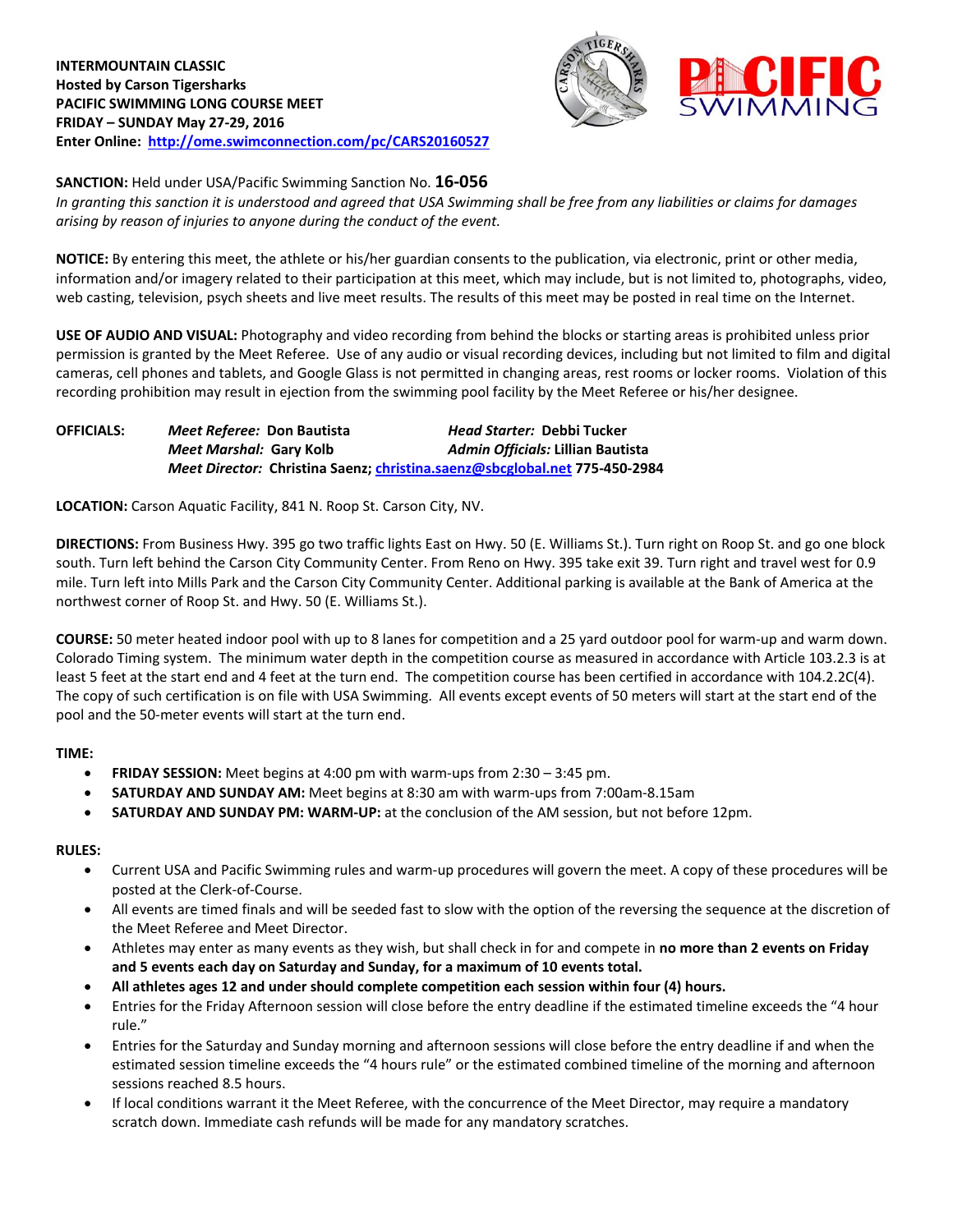

**SANCTION:** Held under USA/Pacific Swimming Sanction No. **16-056**

*In granting this sanction it is understood and agreed that USA Swimming shall be free from any liabilities or claims for damages arising by reason of injuries to anyone during the conduct of the event.*

**NOTICE:** By entering this meet, the athlete or his/her guardian consents to the publication, via electronic, print or other media, information and/or imagery related to their participation at this meet, which may include, but is not limited to, photographs, video, web casting, television, psych sheets and live meet results. The results of this meet may be posted in real time on the Internet.

**USE OF AUDIO AND VISUAL:** Photography and video recording from behind the blocks or starting areas is prohibited unless prior permission is granted by the Meet Referee. Use of any audio or visual recording devices, including but not limited to film and digital cameras, cell phones and tablets, and Google Glass is not permitted in changing areas, rest rooms or locker rooms. Violation of this recording prohibition may result in ejection from the swimming pool facility by the Meet Referee or his/her designee.

| <b>OFFICIALS:</b> | Meet Referee: Don Bautista | Head Starter: Debbi Tucker                                                 |
|-------------------|----------------------------|----------------------------------------------------------------------------|
|                   | Meet Marshal: Gary Kolb    | Admin Officials: Lillian Bautista                                          |
|                   |                            | Meet Director: Christina Saenz; christina.saenz@sbcglobal.net 775-450-2984 |

**LOCATION:** Carson Aquatic Facility, 841 N. Roop St. Carson City, NV.

**DIRECTIONS:** From Business Hwy. 395 go two traffic lights East on Hwy. 50 (E. Williams St.). Turn right on Roop St. and go one block south. Turn left behind the Carson City Community Center. From Reno on Hwy. 395 take exit 39. Turn right and travel west for 0.9 mile. Turn left into Mills Park and the Carson City Community Center. Additional parking is available at the Bank of America at the northwest corner of Roop St. and Hwy. 50 (E. Williams St.).

**COURSE:** 50 meter heated indoor pool with up to 8 lanes for competition and a 25 yard outdoor pool for warm-up and warm down. Colorado Timing system. The minimum water depth in the competition course as measured in accordance with Article 103.2.3 is at least 5 feet at the start end and 4 feet at the turn end. The competition course has been certified in accordance with 104.2.2C(4). The copy of such certification is on file with USA Swimming. All events except events of 50 meters will start at the start end of the pool and the 50-meter events will start at the turn end.

### **TIME:**

- **FRIDAY SESSION:** Meet begins at 4:00 pm with warm-ups from 2:30 3:45 pm.
- **SATURDAY AND SUNDAY AM:** Meet begins at 8:30 am with warm-ups from 7:00am-8.15am
- **SATURDAY AND SUNDAY PM: WARM-UP:** at the conclusion of the AM session, but not before 12pm.

### **RULES:**

- Current USA and Pacific Swimming rules and warm-up procedures will govern the meet. A copy of these procedures will be posted at the Clerk-of-Course.
- All events are timed finals and will be seeded fast to slow with the option of the reversing the sequence at the discretion of the Meet Referee and Meet Director.
- Athletes may enter as many events as they wish, but shall check in for and compete in **no more than 2 events on Friday and 5 events each day on Saturday and Sunday, for a maximum of 10 events total.**
- **All athletes ages 12 and under should complete competition each session within four (4) hours.**
- Entries for the Friday Afternoon session will close before the entry deadline if the estimated timeline exceeds the "4 hour rule."
- Entries for the Saturday and Sunday morning and afternoon sessions will close before the entry deadline if and when the estimated session timeline exceeds the "4 hours rule" or the estimated combined timeline of the morning and afternoon sessions reached 8.5 hours.
- If local conditions warrant it the Meet Referee, with the concurrence of the Meet Director, may require a mandatory scratch down. Immediate cash refunds will be made for any mandatory scratches.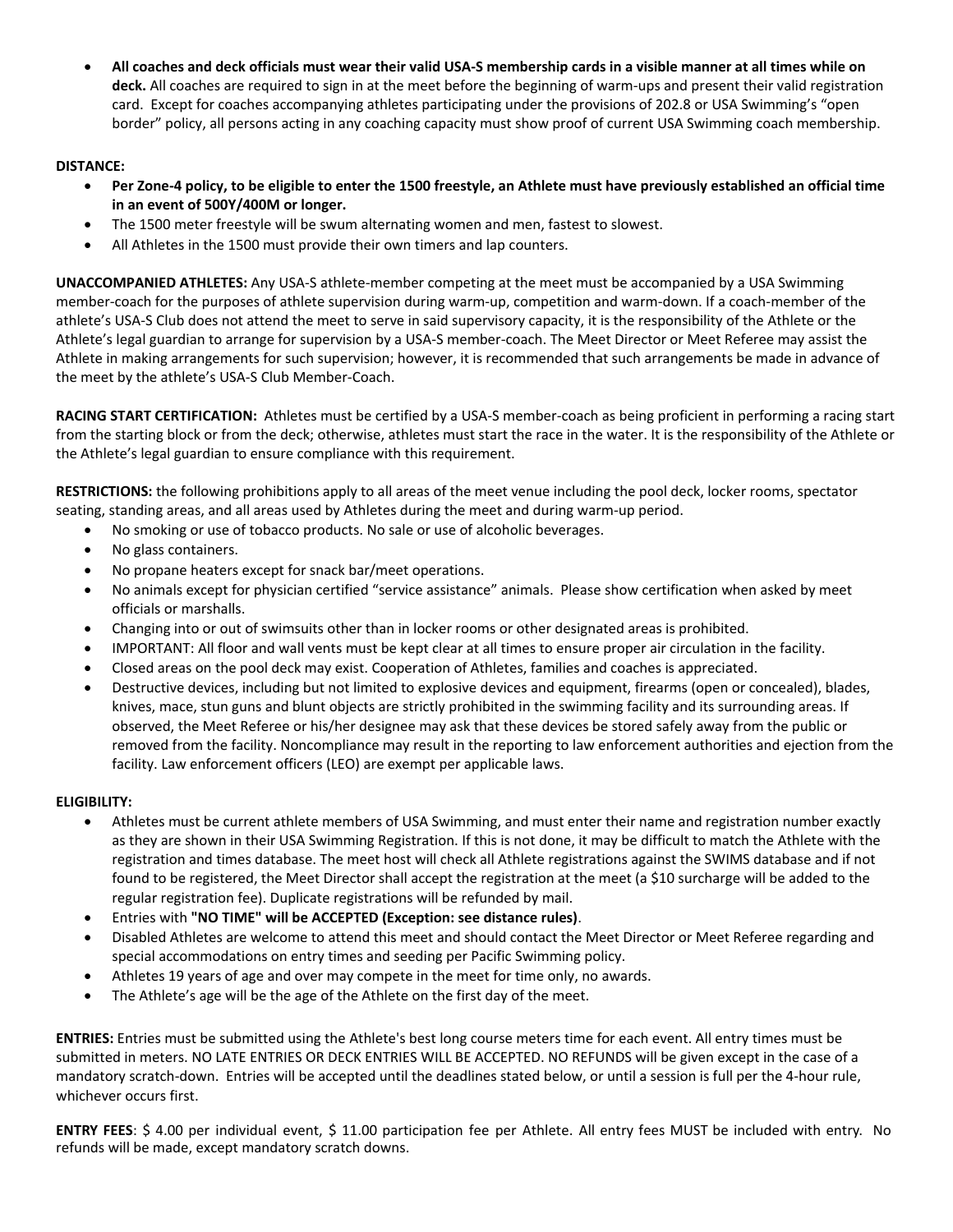**All coaches and deck officials must wear their valid USA-S membership cards in a visible manner at all times while on deck.** All coaches are required to sign in at the meet before the beginning of warm-ups and present their valid registration card. Except for coaches accompanying athletes participating under the provisions of 202.8 or USA Swimming's "open border" policy, all persons acting in any coaching capacity must show proof of current USA Swimming coach membership.

# **DISTANCE:**

- **Per Zone-4 policy, to be eligible to enter the 1500 freestyle, an Athlete must have previously established an official time in an event of 500Y/400M or longer.**
- The 1500 meter freestyle will be swum alternating women and men, fastest to slowest.
- All Athletes in the 1500 must provide their own timers and lap counters.

**UNACCOMPANIED ATHLETES:** Any USA-S athlete-member competing at the meet must be accompanied by a USA Swimming member-coach for the purposes of athlete supervision during warm-up, competition and warm-down. If a coach-member of the athlete's USA-S Club does not attend the meet to serve in said supervisory capacity, it is the responsibility of the Athlete or the Athlete's legal guardian to arrange for supervision by a USA-S member-coach. The Meet Director or Meet Referee may assist the Athlete in making arrangements for such supervision; however, it is recommended that such arrangements be made in advance of the meet by the athlete's USA-S Club Member-Coach.

**RACING START CERTIFICATION:** Athletes must be certified by a USA-S member-coach as being proficient in performing a racing start from the starting block or from the deck; otherwise, athletes must start the race in the water. It is the responsibility of the Athlete or the Athlete's legal guardian to ensure compliance with this requirement.

**RESTRICTIONS:** the following prohibitions apply to all areas of the meet venue including the pool deck, locker rooms, spectator seating, standing areas, and all areas used by Athletes during the meet and during warm-up period.

- No smoking or use of tobacco products. No sale or use of alcoholic beverages.
- No glass containers.
- No propane heaters except for snack bar/meet operations.
- No animals except for physician certified "service assistance" animals. Please show certification when asked by meet officials or marshalls.
- Changing into or out of swimsuits other than in locker rooms or other designated areas is prohibited.
- IMPORTANT: All floor and wall vents must be kept clear at all times to ensure proper air circulation in the facility.
- Closed areas on the pool deck may exist. Cooperation of Athletes, families and coaches is appreciated.
- Destructive devices, including but not limited to explosive devices and equipment, firearms (open or concealed), blades, knives, mace, stun guns and blunt objects are strictly prohibited in the swimming facility and its surrounding areas. If observed, the Meet Referee or his/her designee may ask that these devices be stored safely away from the public or removed from the facility. Noncompliance may result in the reporting to law enforcement authorities and ejection from the facility. Law enforcement officers (LEO) are exempt per applicable laws.

### **ELIGIBILITY:**

- Athletes must be current athlete members of USA Swimming, and must enter their name and registration number exactly as they are shown in their USA Swimming Registration. If this is not done, it may be difficult to match the Athlete with the registration and times database. The meet host will check all Athlete registrations against the SWIMS database and if not found to be registered, the Meet Director shall accept the registration at the meet (a \$10 surcharge will be added to the regular registration fee). Duplicate registrations will be refunded by mail.
- Entries with **"NO TIME" will be ACCEPTED (Exception: see distance rules)**.
- Disabled Athletes are welcome to attend this meet and should contact the Meet Director or Meet Referee regarding and special accommodations on entry times and seeding per Pacific Swimming policy.
- Athletes 19 years of age and over may compete in the meet for time only, no awards.
- The Athlete's age will be the age of the Athlete on the first day of the meet.

**ENTRIES:** Entries must be submitted using the Athlete's best long course meters time for each event. All entry times must be submitted in meters. NO LATE ENTRIES OR DECK ENTRIES WILL BE ACCEPTED. NO REFUNDS will be given except in the case of a mandatory scratch-down. Entries will be accepted until the deadlines stated below, or until a session is full per the 4-hour rule, whichever occurs first.

**ENTRY FEES**: \$ 4.00 per individual event, \$ 11.00 participation fee per Athlete. All entry fees MUST be included with entry. No refunds will be made, except mandatory scratch downs.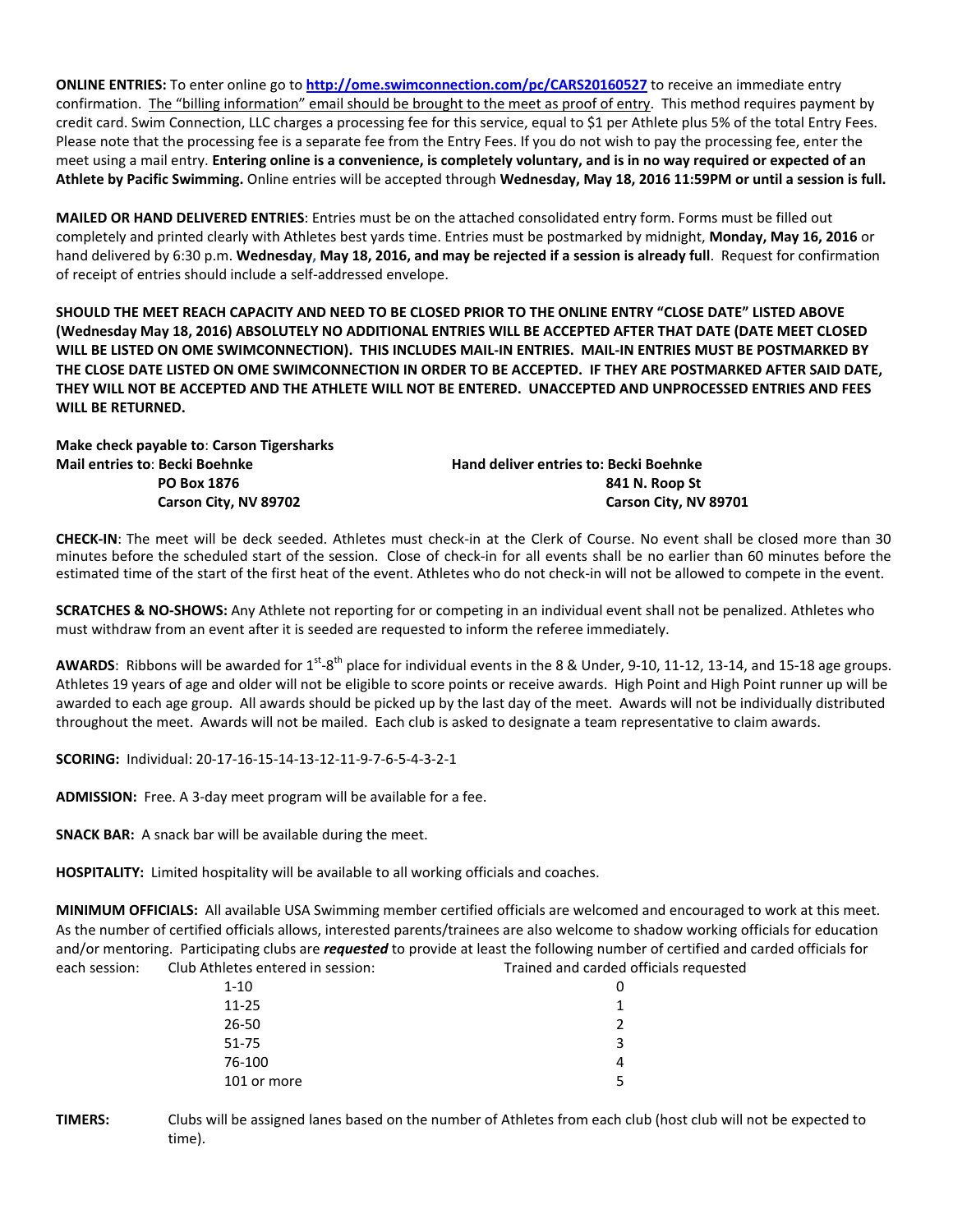**ONLINE ENTRIES:** To enter online go to **<http://ome.swimconnection.com/pc/CARS20160527>** to receive an immediate entry confirmation. The "billing information" email should be brought to the meet as proof of entry. This method requires payment by credit card. Swim Connection, LLC charges a processing fee for this service, equal to \$1 per Athlete plus 5% of the total Entry Fees. Please note that the processing fee is a separate fee from the Entry Fees. If you do not wish to pay the processing fee, enter the meet using a mail entry. **Entering online is a convenience, is completely voluntary, and is in no way required or expected of an Athlete by Pacific Swimming.** Online entries will be accepted through **Wednesday, May 18, 2016 11:59PM or until a session is full.**

**MAILED OR HAND DELIVERED ENTRIES**: Entries must be on the attached consolidated entry form. Forms must be filled out completely and printed clearly with Athletes best yards time. Entries must be postmarked by midnight, **Monday, May 16, 2016** or hand delivered by 6:30 p.m. **Wednesday, May 18, 2016, and may be rejected if a session is already full**. Request for confirmation of receipt of entries should include a self-addressed envelope.

**SHOULD THE MEET REACH CAPACITY AND NEED TO BE CLOSED PRIOR TO THE ONLINE ENTRY "CLOSE DATE" LISTED ABOVE (Wednesday May 18, 2016) ABSOLUTELY NO ADDITIONAL ENTRIES WILL BE ACCEPTED AFTER THAT DATE (DATE MEET CLOSED WILL BE LISTED ON OME SWIMCONNECTION). THIS INCLUDES MAIL-IN ENTRIES. MAIL-IN ENTRIES MUST BE POSTMARKED BY THE CLOSE DATE LISTED ON OME SWIMCONNECTION IN ORDER TO BE ACCEPTED. IF THEY ARE POSTMARKED AFTER SAID DATE, THEY WILL NOT BE ACCEPTED AND THE ATHLETE WILL NOT BE ENTERED. UNACCEPTED AND UNPROCESSED ENTRIES AND FEES WILL BE RETURNED.**

**Make check payable to**: **Carson Tigersharks Mail entries to**: **Becki Boehnke Hand deliver entries to: Becki Boehnke**

**PO Box 1876** 841 N. Roop St Carson City, NV 89702 **Carson City, NV 89701** 

**CHECK-IN**: The meet will be deck seeded. Athletes must check-in at the Clerk of Course. No event shall be closed more than 30 minutes before the scheduled start of the session. Close of check-in for all events shall be no earlier than 60 minutes before the estimated time of the start of the first heat of the event. Athletes who do not check-in will not be allowed to compete in the event.

**SCRATCHES & NO-SHOWS:** Any Athlete not reporting for or competing in an individual event shall not be penalized. Athletes who must withdraw from an event after it is seeded are requested to inform the referee immediately.

AWARDS: Ribbons will be awarded for 1<sup>st</sup>-8<sup>th</sup> place for individual events in the 8 & Under, 9-10, 11-12, 13-14, and 15-18 age groups. Athletes 19 years of age and older will not be eligible to score points or receive awards. High Point and High Point runner up will be awarded to each age group. All awards should be picked up by the last day of the meet. Awards will not be individually distributed throughout the meet. Awards will not be mailed. Each club is asked to designate a team representative to claim awards.

**SCORING:** Individual: 20-17-16-15-14-13-12-11-9-7-6-5-4-3-2-1

**ADMISSION:** Free. A 3-day meet program will be available for a fee.

**SNACK BAR:** A snack bar will be available during the meet.

**HOSPITALITY:** Limited hospitality will be available to all working officials and coaches.

**MINIMUM OFFICIALS:** All available USA Swimming member certified officials are welcomed and encouraged to work at this meet. As the number of certified officials allows, interested parents/trainees are also welcome to shadow working officials for education and/or mentoring. Participating clubs are *requested* to provide at least the following number of certified and carded officials for each session: Club Athletes entered in session: Trained and carded officials requested

| $1 - 10$    | 0 |
|-------------|---|
| $11 - 25$   | 1 |
| $26 - 50$   | 2 |
| 51-75       | 3 |
| 76-100      | 4 |
| 101 or more | 5 |

**TIMERS:** Clubs will be assigned lanes based on the number of Athletes from each club (host club will not be expected to time).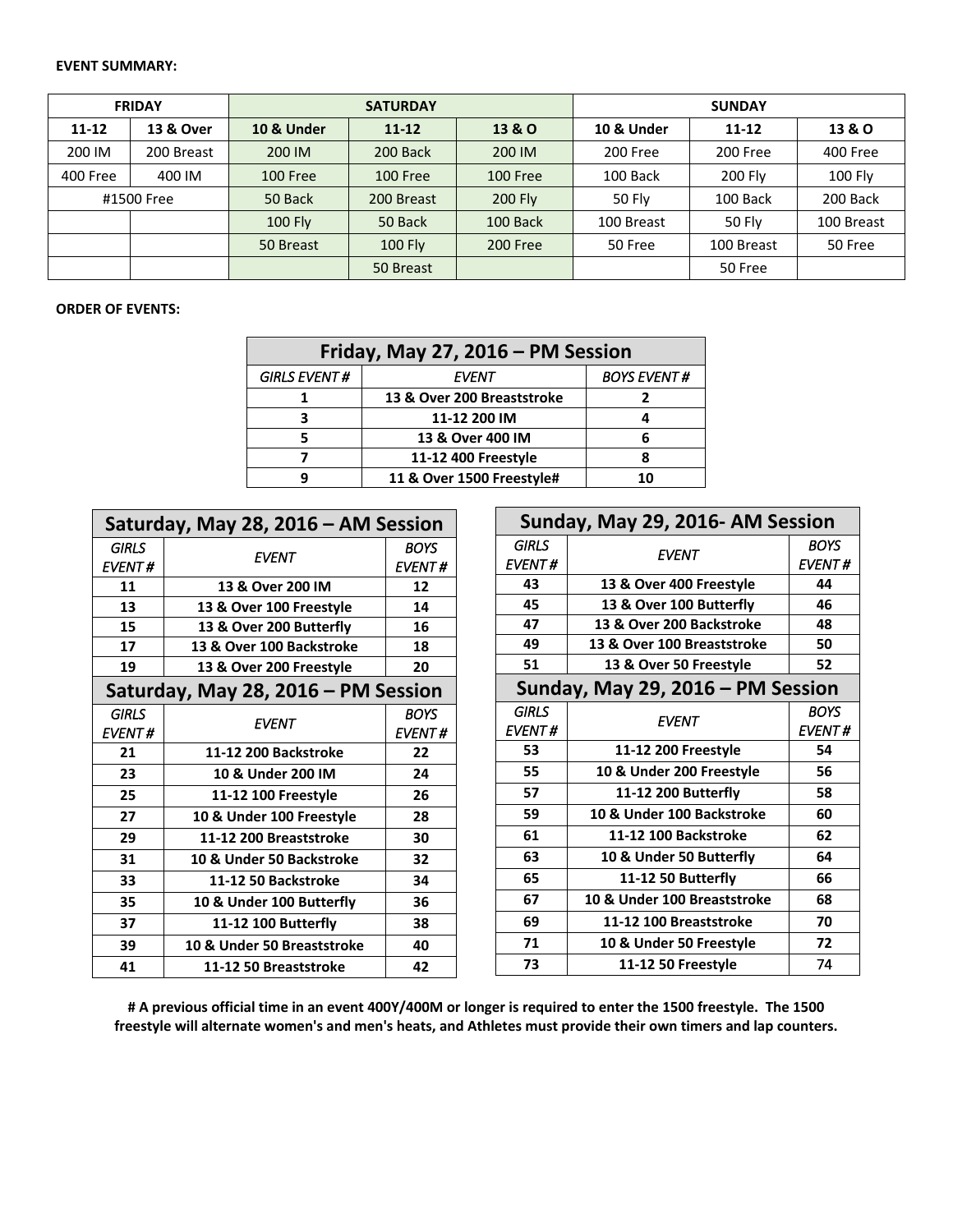#### **EVENT SUMMARY:**

| <b>FRIDAY</b> |            |                 | <b>SATURDAY</b> |                 | <b>SUNDAY</b>         |            |                |  |  |
|---------------|------------|-----------------|-----------------|-----------------|-----------------------|------------|----------------|--|--|
| $11 - 12$     | 13 & Over  | 10 & Under      | $11 - 12$       |                 | <b>10 &amp; Under</b> | $11 - 12$  | 13 & O         |  |  |
| 200 IM        | 200 Breast | 200 IM          | 200 Back        | 200 IM          | 200 Free              | 200 Free   | 400 Free       |  |  |
| 400 Free      | 400 IM     | <b>100 Free</b> | <b>100 Free</b> | <b>100 Free</b> | 100 Back              | 200 Fly    | <b>100 Fly</b> |  |  |
| #1500 Free    |            | 50 Back         | 200 Breast      | 200 Fly         | 50 Fly                | 100 Back   | 200 Back       |  |  |
|               |            | <b>100 Fly</b>  | 50 Back         | 100 Back        | 100 Breast            | 50 Fly     | 100 Breast     |  |  |
|               |            | 50 Breast       | <b>100 Fly</b>  | 200 Free        | 50 Free               | 100 Breast | 50 Free        |  |  |
|               |            |                 | 50 Breast       |                 |                       | 50 Free    |                |  |  |

## **ORDER OF EVENTS:**

| Friday, May 27, 2016 - PM Session |                            |                    |  |  |  |  |  |
|-----------------------------------|----------------------------|--------------------|--|--|--|--|--|
| <b>GIRLS EVENT#</b>               | EVENT                      | <b>BOYS EVENT#</b> |  |  |  |  |  |
|                                   | 13 & Over 200 Breaststroke |                    |  |  |  |  |  |
|                                   | 11-12 200 IM               |                    |  |  |  |  |  |
|                                   | 13 & Over 400 IM           |                    |  |  |  |  |  |
|                                   | 11-12 400 Freestyle        |                    |  |  |  |  |  |
|                                   | 11 & Over 1500 Freestyle#  | 10                 |  |  |  |  |  |

| Saturday, May 28, 2016 - AM Session |                            |               |  |  |  |  |  |
|-------------------------------------|----------------------------|---------------|--|--|--|--|--|
| <b>GIRLS</b>                        | <b>EVENT</b>               | <b>BOYS</b>   |  |  |  |  |  |
| <b>EVENT#</b>                       |                            | <b>EVENT#</b> |  |  |  |  |  |
| 11                                  | 13 & Over 200 IM           | 12            |  |  |  |  |  |
| 13                                  | 13 & Over 100 Freestyle    | 14            |  |  |  |  |  |
| 15                                  | 13 & Over 200 Butterfly    | 16            |  |  |  |  |  |
| 17                                  | 13 & Over 100 Backstroke   | 18            |  |  |  |  |  |
| 19                                  | 13 & Over 200 Freestyle    | 20            |  |  |  |  |  |
| Saturday, May 28, 2016 - PM Session |                            |               |  |  |  |  |  |
| <b>GIRLS</b>                        | <b>EVENT</b>               | BOYS          |  |  |  |  |  |
| <b>EVENT#</b>                       |                            | <b>EVENT#</b> |  |  |  |  |  |
| 21                                  | 11-12 200 Backstroke       | 22            |  |  |  |  |  |
| 23                                  | 10 & Under 200 IM          | 24            |  |  |  |  |  |
| 25                                  | 11-12 100 Freestyle        | 26            |  |  |  |  |  |
| 27                                  | 10 & Under 100 Freestyle   | 28            |  |  |  |  |  |
| 29                                  | 11-12 200 Breaststroke     | 30            |  |  |  |  |  |
| 31                                  | 10 & Under 50 Backstroke   | 32            |  |  |  |  |  |
| 33                                  | 11-12 50 Backstroke        | 34            |  |  |  |  |  |
| 35                                  | 10 & Under 100 Butterfly   | 36            |  |  |  |  |  |
| 37                                  | 11-12 100 Butterfly        | 38            |  |  |  |  |  |
| 39                                  | 10 & Under 50 Breaststroke | 40            |  |  |  |  |  |
| 41                                  | 11-12 50 Breaststroke      | 42            |  |  |  |  |  |

| Sunday, May 29, 2016- AM Session  |                             |               |  |  |  |  |  |
|-----------------------------------|-----------------------------|---------------|--|--|--|--|--|
| GIRLS                             | EVENT                       | <b>BOYS</b>   |  |  |  |  |  |
| <b>EVENT#</b>                     |                             | <b>EVENT#</b> |  |  |  |  |  |
| 43                                | 13 & Over 400 Freestyle     | 44            |  |  |  |  |  |
| 45                                | 13 & Over 100 Butterfly     | 46            |  |  |  |  |  |
| 47                                | 13 & Over 200 Backstroke    | 48            |  |  |  |  |  |
| 49                                | 13 & Over 100 Breaststroke  | 50            |  |  |  |  |  |
| 51                                | 13 & Over 50 Freestyle      | 52            |  |  |  |  |  |
| Sunday, May 29, 2016 – PM Session |                             |               |  |  |  |  |  |
| GIRLS                             | <b>EVENT</b>                | <b>BOYS</b>   |  |  |  |  |  |
| <b>EVENT#</b>                     |                             | <b>EVENT#</b> |  |  |  |  |  |
| 53                                | 11-12 200 Freestyle         | 54            |  |  |  |  |  |
| 55                                | 10 & Under 200 Freestyle    | 56            |  |  |  |  |  |
| 57                                | 11-12 200 Butterfly         | 58            |  |  |  |  |  |
| 59                                | 10 & Under 100 Backstroke   | 60            |  |  |  |  |  |
| 61                                | 11-12 100 Backstroke        | 62            |  |  |  |  |  |
| 63                                | 10 & Under 50 Butterfly     | 64            |  |  |  |  |  |
| 65                                | 11-12 50 Butterfly          | 66            |  |  |  |  |  |
| 67                                | 10 & Under 100 Breaststroke | 68            |  |  |  |  |  |
| 69                                | 11-12 100 Breaststroke      | 70            |  |  |  |  |  |
| 71                                | 10 & Under 50 Freestyle     | 72            |  |  |  |  |  |
| 73                                | 11-12 50 Freestyle          | 74            |  |  |  |  |  |

**# A previous official time in an event 400Y/400M or longer is required to enter the 1500 freestyle. The 1500 freestyle will alternate women's and men's heats, and Athletes must provide their own timers and lap counters.**